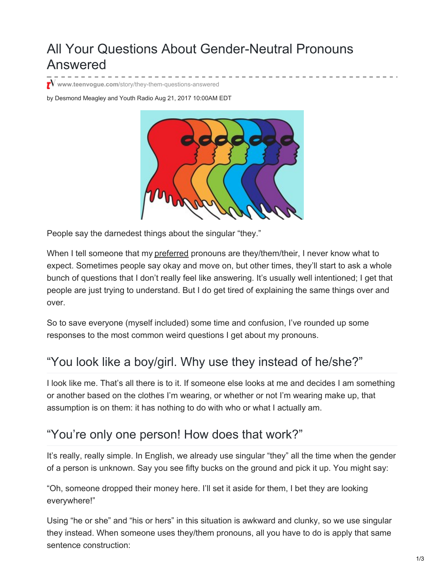# All Your Questions About Gender-Neutral Pronouns Answered

**www.teenvogue.com**[/story/they-them-questions-answered](https://www.teenvogue.com/story/they-them-questions-answered)

by Desmond Meagley and Youth Radio Aug 21, 2017 10:00AM EDT



People say the darnedest things about the singular "they."

When I tell someone that my [preferred](http://www.teenvogue.com/gallery/how-non-binary-people-want-to-be-seen) pronouns are they/them/their, I never know what to expect. Sometimes people say okay and move on, but other times, they'll start to ask a whole bunch of questions that I don't really feel like answering. It's usually well intentioned; I get that people are just trying to understand. But I do get tired of explaining the same things over and over.

So to save everyone (myself included) some time and confusion, I've rounded up some responses to the most common weird questions I get about my pronouns.

## "You look like a boy/girl. Why use they instead of he/she?"

I look like me. That's all there is to it. If someone else looks at me and decides I am something or another based on the clothes I'm wearing, or whether or not I'm wearing make up, that assumption is on them: it has nothing to do with who or what I actually am.

## "You're only one person! How does that work?"

It's really, really simple. In English, we already use singular "they" all the time when the gender of a person is unknown. Say you see fifty bucks on the ground and pick it up. You might say:

"Oh, someone dropped their money here. I'll set it aside for them, I bet they are looking everywhere!"

Using "he or she" and "his or hers" in this situation is awkward and clunky, so we use singular they instead. When someone uses they/them pronouns, all you have to do is apply that same sentence construction: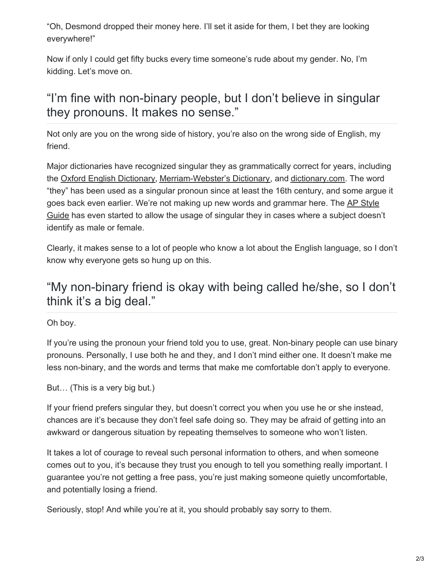"Oh, Desmond dropped their money here. I'll set it aside for them, I bet they are looking everywhere!"

Now if only I could get fifty bucks every time someone's rude about my gender. No, I'm kidding. Let's move on.

## "I'm fine with non-binary people, but I don't believe in singular they pronouns. It makes no sense."

Not only are you on the wrong side of history, you're also on the wrong side of English, my friend.

Major dictionaries have recognized singular they as grammatically correct for years, including the Oxford English [Dictionary](https://en.oxforddictionaries.com/definition/they), [Merriam-Webster's](https://www.merriam-webster.com/dictionary/they) Dictionary, and [dictionary.com](http://www.dictionary.com/browse/they?s=t). The word "they" has been used as a singular pronoun since at least the 16th century, and some argue it goes back even earlier. We're not making up new words and [grammar](https://blog.ap.org/products-and-services/making-a-case-for-a-singular-they) here. The AP Style Guide has even started to allow the usage of singular they in cases where a subject doesn't identify as male or female.

Clearly, it makes sense to a lot of people who know a lot about the English language, so I don't know why everyone gets so hung up on this.

## "My non-binary friend is okay with being called he/she, so I don't think it's a big deal."

Oh boy.

If you're using the pronoun your friend told you to use, great. Non-binary people can use binary pronouns. Personally, I use both he and they, and I don't mind either one. It doesn't make me less non-binary, and the words and terms that make me comfortable don't apply to everyone.

But… (This is a very big but.)

If your friend prefers singular they, but doesn't correct you when you use he or she instead, chances are it's because they don't feel safe doing so. They may be afraid of getting into an awkward or dangerous situation by repeating themselves to someone who won't listen.

It takes a lot of courage to reveal such personal information to others, and when someone comes out to you, it's because they trust you enough to tell you something really important. I guarantee you're not getting a free pass, you're just making someone quietly uncomfortable, and potentially losing a friend.

Seriously, stop! And while you're at it, you should probably say sorry to them.